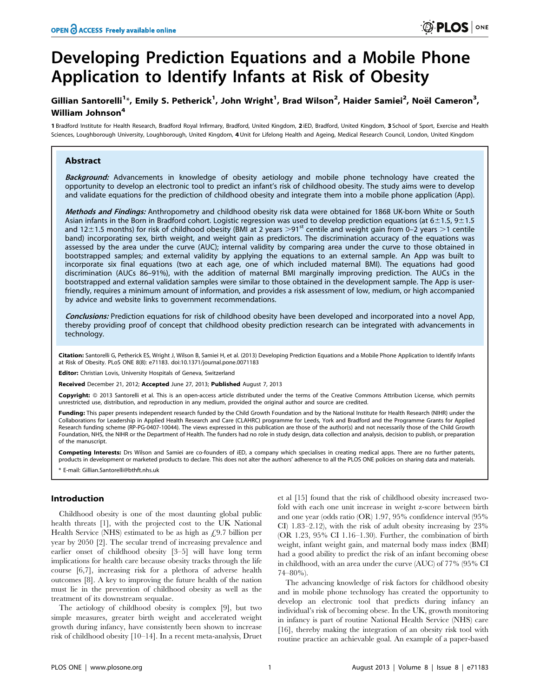# Developing Prediction Equations and a Mobile Phone Application to Identify Infants at Risk of Obesity

## Gillian Santorelli<sup>1</sup>\*, Emily S. Petherick<sup>1</sup>, John Wright<sup>1</sup>, Brad Wilson<sup>2</sup>, Haider Samiei<sup>2</sup>, Noël Cameron<sup>3</sup>, William Johnson<sup>4</sup>

1 Bradford Institute for Health Research, Bradford Royal Infirmary, Bradford, United Kingdom, 2 iED, Bradford, United Kingdom, 3 School of Sport, Exercise and Health Sciences, Loughborough University, Loughborough, United Kingdom, 4 Unit for Lifelong Health and Ageing, Medical Research Council, London, United Kingdom

## Abstract

Background: Advancements in knowledge of obesity aetiology and mobile phone technology have created the opportunity to develop an electronic tool to predict an infant's risk of childhood obesity. The study aims were to develop and validate equations for the prediction of childhood obesity and integrate them into a mobile phone application (App).

Methods and Findings: Anthropometry and childhood obesity risk data were obtained for 1868 UK-born White or South Asian infants in the Born in Bradford cohort. Logistic regression was used to develop prediction equations (at  $6\pm1.5$ ,  $9\pm1.5$ and 12 $\pm$ 1.5 months) for risk of childhood obesity (BMI at 2 years >91<sup>st</sup> centile and weight gain from 0–2 years >1 centile band) incorporating sex, birth weight, and weight gain as predictors. The discrimination accuracy of the equations was assessed by the area under the curve (AUC); internal validity by comparing area under the curve to those obtained in bootstrapped samples; and external validity by applying the equations to an external sample. An App was built to incorporate six final equations (two at each age, one of which included maternal BMI). The equations had good discrimination (AUCs 86–91%), with the addition of maternal BMI marginally improving prediction. The AUCs in the bootstrapped and external validation samples were similar to those obtained in the development sample. The App is userfriendly, requires a minimum amount of information, and provides a risk assessment of low, medium, or high accompanied by advice and website links to government recommendations.

Conclusions: Prediction equations for risk of childhood obesity have been developed and incorporated into a novel App, thereby providing proof of concept that childhood obesity prediction research can be integrated with advancements in technology.

Citation: Santorelli G, Petherick ES, Wright J, Wilson B, Samiei H, et al. (2013) Developing Prediction Equations and a Mobile Phone Application to Identify Infants at Risk of Obesity. PLoS ONE 8(8): e71183. doi:10.1371/journal.pone.0071183

Editor: Christian Lovis, University Hospitals of Geneva, Switzerland

Received December 21, 2012; Accepted June 27, 2013; Published August 7, 2013

Copyright: © 2013 Santorelli et al. This is an open-access article distributed under the terms of the Creative Commons Attribution License, which permits unrestricted use, distribution, and reproduction in any medium, provided the original author and source are credited.

Funding: This paper presents independent research funded by the Child Growth Foundation and by the National Institute for Health Research (NIHR) under the Collaborations for Leadership in Applied Health Research and Care (CLAHRC) programme for Leeds, York and Bradford and the Programme Grants for Applied Research funding scheme (RP-PG-0407-10044). The views expressed in this publication are those of the author(s) and not necessarily those of the Child Growth Foundation, NHS, the NIHR or the Department of Health. The funders had no role in study design, data collection and analysis, decision to publish, or preparation of the manuscript.

Competing Interests: Drs Wilson and Samiei are co-founders of iED, a company which specialises in creating medical apps. There are no further patents, products in development or marketed products to declare. This does not alter the authors' adherence to all the PLOS ONE policies on sharing data and materials.

\* E-mail: Gillian.Santorelli@bthft.nhs.uk

## Introduction

Childhood obesity is one of the most daunting global public health threats [1], with the projected cost to the UK National Health Service (NHS) estimated to be as high as  $\angle$  4.9.7 billion per year by 2050 [2]. The secular trend of increasing prevalence and earlier onset of childhood obesity [3–5] will have long term implications for health care because obesity tracks through the life course [6,7], increasing risk for a plethora of adverse health outcomes [8]. A key to improving the future health of the nation must lie in the prevention of childhood obesity as well as the treatment of its downstream sequalae.

The aetiology of childhood obesity is complex [9], but two simple measures, greater birth weight and accelerated weight growth during infancy, have consistently been shown to increase risk of childhood obesity [10–14]. In a recent meta-analysis, Druet et al [15] found that the risk of childhood obesity increased twofold with each one unit increase in weight z-score between birth and one year (odds ratio (OR) 1.97, 95% confidence interval (95% CI) 1.83–2.12), with the risk of adult obesity increasing by 23% (OR 1.23, 95% CI 1.16–1.30). Further, the combination of birth weight, infant weight gain, and maternal body mass index (BMI) had a good ability to predict the risk of an infant becoming obese in childhood, with an area under the curve (AUC) of 77% (95% CI 74–80%).

The advancing knowledge of risk factors for childhood obesity and in mobile phone technology has created the opportunity to develop an electronic tool that predicts during infancy an individual's risk of becoming obese. In the UK, growth monitoring in infancy is part of routine National Health Service (NHS) care [16], thereby making the integration of an obesity risk tool with routine practice an achievable goal. An example of a paper-based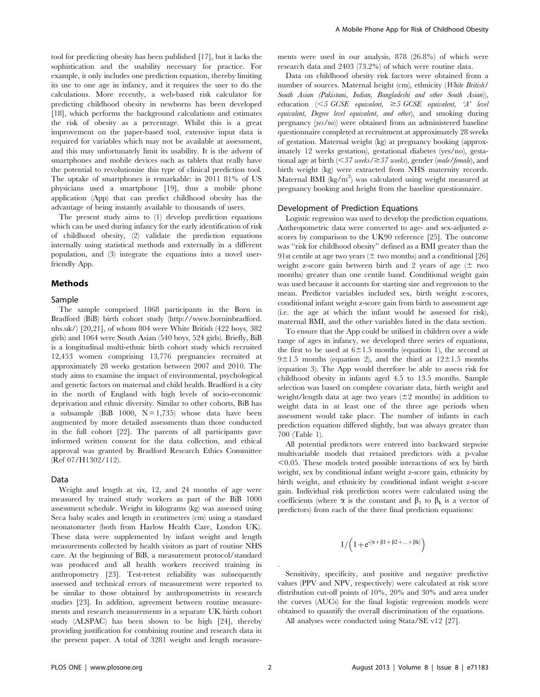tool for predicting obesity has been published [17], but it lacks the sophistication and the usability necessary for practice. For example, it only includes one prediction equation, thereby limiting its use to one age in infancy, and it requires the user to do the calculations. More recently, a web-based risk calculator for predicting childhood obesity in newborns has been developed [18], which performs the background calculations and estimates the risk of obesity as a percentage. Whilst this is a great improvement on the paper-based tool, extensive input data is required for variables which may not be available at assessment, and this may unfortunately limit its usability. It is the advent of smartphones and mobile devices such as tablets that really have the potential to revolutionise this type of clinical prediction tool. The uptake of smartphones is remarkable: in 2011 81% of US physicians used a smartphone [19], thus a mobile phone application (App) that can predict childhood obesity has the advantage of being instantly available to thousands of users.

The present study aims to (1) develop prediction equations which can be used during infancy for the early identification of risk of childhood obesity, (2) validate the prediction equations internally using statistical methods and externally in a different population, and (3) integrate the equations into a novel userfriendly App.

## Methods

#### Sample

The sample comprised 1868 participants in the Born in Bradford (BiB) birth cohort study (http://www.borninbradford. nhs.uk/) [20,21], of whom 804 were White British (422 boys, 382 girls) and 1064 were South Asian (540 boys, 524 girls). Briefly, BiB is a longitudinal multi-ethnic birth cohort study which recruited 12,453 women comprising 13,776 pregnancies recruited at approximately 28 weeks gestation between 2007 and 2010. The study aims to examine the impact of environmental, psychological and genetic factors on maternal and child health. Bradford is a city in the north of England with high levels of socio-economic deprivation and ethnic diversity. Similar to other cohorts, BiB has a subsample (BiB 1000,  $N = 1,735$ ) whose data have been augmented by more detailed assessments than those conducted in the full cohort [22]. The parents of all participants gave informed written consent for the data collection, and ethical approval was granted by Bradford Research Ethics Committee (Ref 07/H1302/112).

#### Data

Weight and length at six, 12, and 24 months of age were measured by trained study workers as part of the BiB 1000 assessment schedule. Weight in kilograms (kg) was assessed using Seca baby scales and length in centimetres (cm) using a standard neonatometer (both from Harlow Health Care, London UK). These data were supplemented by infant weight and length measurements collected by health visitors as part of routine NHS care. At the beginning of BiB, a measurement protocol/standard was produced and all health workers received training in anthropometry [23]. Test-retest reliability was subsequently assessed and technical errors of measurement were reported to be similar to those obtained by anthropometrists in research studies [23]. In addition, agreement between routine measurements and research measurements in a separate UK birth cohort study (ALSPAC) has been shown to be high [24], thereby providing justification for combining routine and research data in the present paper. A total of 3281 weight and length measurements were used in our analysis, 878 (26.8%) of which were research data and 2403 (73.2%) of which were routine data.

Data on childhood obesity risk factors were obtained from a number of sources. Maternal height (cm), ethnicity (White British/ South Asian (Pakistani, Indian, Bangladeshi and other South Asian)), education  $(*5* GCSE equivalent,  $\geq$  5 GCSE equivalent, 'A' level$ equivalent, Degree level equivalent, and other), and smoking during pregnancy (yes/no)) were obtained from an administered baseline questionnaire completed at recruitment at approximately 28 weeks of gestation. Maternal weight (kg) at pregnancy booking (approximately 12 weeks gestation), gestational diabetes (yes/no), gestational age at birth  $\overline{<}37$  weeks/ $\geq$ 37 weeks), gender (male/female), and birth weight (kg) were extracted from NHS maternity records. Maternal BMI (kg/m<sup>2</sup>) was calculated using weight measured at pregnancy booking and height from the baseline questionnaire.

#### Development of Prediction Equations

Logistic regression was used to develop the prediction equations. Anthropometric data were converted to age- and sex-adjusted zscores by comparison to the UK90 reference [25]. The outcome was ''risk for childhood obesity'' defined as a BMI greater than the 91st centile at age two years  $(\pm$  two months) and a conditional [26] weight z-score gain between birth and 2 years of age  $(\pm$  two months) greater than one centile band. Conditional weight gain was used because it accounts for starting size and regression to the mean. Predictor variables included sex, birth weight z-scores, conditional infant weight z-score gain from birth to assessment age (i.e. the age at which the infant would be assessed for risk), maternal BMI, and the other variables listed in the data section.

To ensure that the App could be utilised in children over a wide range of ages in infancy, we developed three series of equations, the first to be used at  $6\pm1.5$  months (equation 1), the second at  $9±1.5$  months (equation 2), and the third at  $12±1.5$  months (equation 3). The App would therefore be able to assess risk for childhood obesity in infants aged 4.5 to 13.5 months. Sample selection was based on complete covariate data, birth weight and weight/length data at age two years  $(\pm 2 \text{ months})$  in addition to weight data in at least one of the three age periods when assessment would take place. The number of infants in each prediction equation differed slightly, but was always greater than 700 (Table 1).

All potential predictors were entered into backward stepwise multivariable models that retained predictors with a p-value  $< 0.05$ . These models tested possible interactions of sex by birth weight, sex by conditional infant weight z-score gain, ethnicity by birth weight, and ethnicity by conditional infant weight z-score gain. Individual risk prediction scores were calculated using the coefficients (where  $\alpha$  is the constant and  $\beta_1$  to  $\beta_k$  is a vector of predictors) from each of the three final prediction equations:

$$
1/\Bigl(1+e^{-(\alpha+\beta1+\beta2+...+\beta k]}\Bigr)
$$

Sensitivity, specificity, and positive and negative predictive values (PPV and NPV, respectively) were calculated at risk score distribution cut-off points of 10%, 20% and 30% and area under the curves (AUCs) for the final logistic regression models were obtained to quantify the overall discrimination of the equations.

All analyses were conducted using Stata/SE v12 [27].

.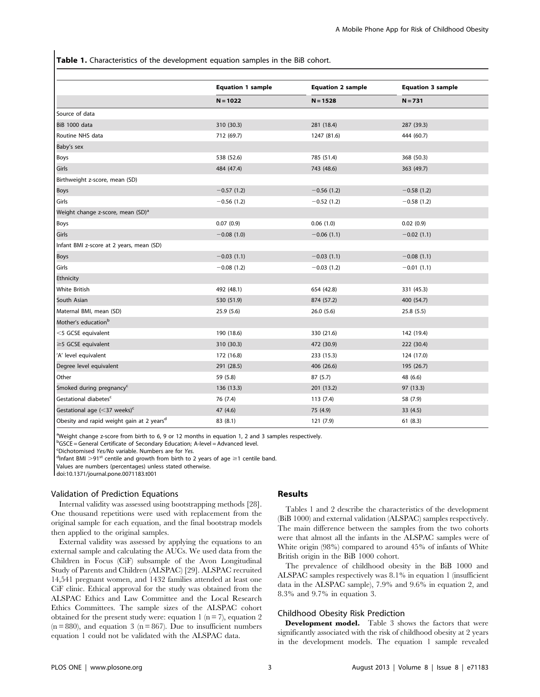Table 1. Characteristics of the development equation samples in the BiB cohort.

|                                                       | <b>Equation 1 sample</b> | <b>Equation 2 sample</b> | <b>Equation 3 sample</b> |  |
|-------------------------------------------------------|--------------------------|--------------------------|--------------------------|--|
|                                                       | $N = 1022$               | $N = 1528$               | $N = 731$                |  |
| Source of data                                        |                          |                          |                          |  |
| BiB 1000 data                                         | 310 (30.3)               | 281 (18.4)               | 287 (39.3)               |  |
| Routine NHS data                                      | 712 (69.7)               | 1247 (81.6)              | 444 (60.7)               |  |
| Baby's sex                                            |                          |                          |                          |  |
| Boys                                                  | 538 (52.6)               | 785 (51.4)               | 368 (50.3)               |  |
| Girls                                                 | 484 (47.4)               | 743 (48.6)               | 363 (49.7)               |  |
| Birthweight z-score, mean (SD)                        |                          |                          |                          |  |
| Boys                                                  | $-0.57(1.2)$             | $-0.56(1.2)$             | $-0.58(1.2)$             |  |
| Girls                                                 | $-0.56(1.2)$             | $-0.52(1.2)$             | $-0.58(1.2)$             |  |
| Weight change z-score, mean (SD) <sup>a</sup>         |                          |                          |                          |  |
| Boys                                                  | 0.07(0.9)                | 0.06(1.0)                | 0.02(0.9)                |  |
| Girls                                                 | $-0.08(1.0)$             | $-0.06(1.1)$             | $-0.02(1.1)$             |  |
| Infant BMI z-score at 2 years, mean (SD)              |                          |                          |                          |  |
| Boys                                                  | $-0.03(1.1)$             | $-0.03(1.1)$             | $-0.08(1.1)$             |  |
| Girls                                                 | $-0.08(1.2)$             | $-0.03(1.2)$             | $-0.01(1.1)$             |  |
| Ethnicity                                             |                          |                          |                          |  |
| <b>White British</b>                                  | 492 (48.1)               | 654 (42.8)               | 331 (45.3)               |  |
| South Asian                                           | 530 (51.9)               | 874 (57.2)               | 400 (54.7)               |  |
| Maternal BMI, mean (SD)                               | 25.9 (5.6)               | 26.0(5.6)                | 25.8 (5.5)               |  |
| Mother's education <sup>b</sup>                       |                          |                          |                          |  |
| <5 GCSE equivalent                                    | 190 (18.6)               | 330 (21.6)               | 142 (19.4)               |  |
| $\geq$ 5 GCSE equivalent                              | 310 (30.3)               | 472 (30.9)               | 222 (30.4)               |  |
| 'A' level equivalent                                  | 172 (16.8)               | 233 (15.3)               | 124 (17.0)               |  |
| Degree level equivalent                               | 291 (28.5)               | 406 (26.6)               | 195 (26.7)               |  |
| Other                                                 | 59 (5.8)                 | 87 (5.7)                 | 48 (6.6)                 |  |
| Smoked during pregnancy <sup>c</sup>                  | 136 (13.3)               | 201 (13.2)               | 97 (13.3)                |  |
| Gestational diabetes <sup>c</sup>                     | 76 (7.4)                 | 113(7.4)                 | 58 (7.9)                 |  |
| Gestational age $(<$ 37 weeks) <sup>c</sup>           | 47 (4.6)                 | 75 (4.9)                 | 33 (4.5)                 |  |
| Obesity and rapid weight gain at 2 years <sup>d</sup> | 83 (8.1)                 | 121 (7.9)                | 61(8.3)                  |  |

<sup>a</sup>Weight change z-score from birth to 6, 9 or 12 months in equation 1, 2 and 3 samples respectively.

<sup>b</sup>GSCE = General Certificate of Secondary Education; A-level = Advanced level.

Epichotomised Yes/No variable. Numbers are for Yes.

 $d$ Infant BMI >91<sup>st</sup> centile and growth from birth to 2 years of age  $\geq$ 1 centile band.

Values are numbers (percentages) unless stated otherwise.

doi:10.1371/journal.pone.0071183.t001

#### Validation of Prediction Equations

Internal validity was assessed using bootstrapping methods [28]. One thousand repetitions were used with replacement from the original sample for each equation, and the final bootstrap models then applied to the original samples.

External validity was assessed by applying the equations to an external sample and calculating the AUCs. We used data from the Children in Focus (CiF) subsample of the Avon Longitudinal Study of Parents and Children (ALSPAC) [29]. ALSPAC recruited 14,541 pregnant women, and 1432 families attended at least one CiF clinic. Ethical approval for the study was obtained from the ALSPAC Ethics and Law Committee and the Local Research Ethics Committees. The sample sizes of the ALSPAC cohort obtained for the present study were: equation 1 ( $n = 7$ ), equation 2  $(n = 880)$ , and equation 3  $(n = 867)$ . Due to insufficient numbers equation 1 could not be validated with the ALSPAC data.

## Results

Tables 1 and 2 describe the characteristics of the development (BiB 1000) and external validation (ALSPAC) samples respectively. The main difference between the samples from the two cohorts were that almost all the infants in the ALSPAC samples were of White origin (98%) compared to around 45% of infants of White British origin in the BiB 1000 cohort.

The prevalence of childhood obesity in the BiB 1000 and ALSPAC samples respectively was 8.1% in equation 1 (insufficient data in the ALSPAC sample), 7.9% and 9.6% in equation 2, and 8.3% and 9.7% in equation 3.

#### Childhood Obesity Risk Prediction

Development model. Table 3 shows the factors that were significantly associated with the risk of childhood obesity at 2 years in the development models. The equation 1 sample revealed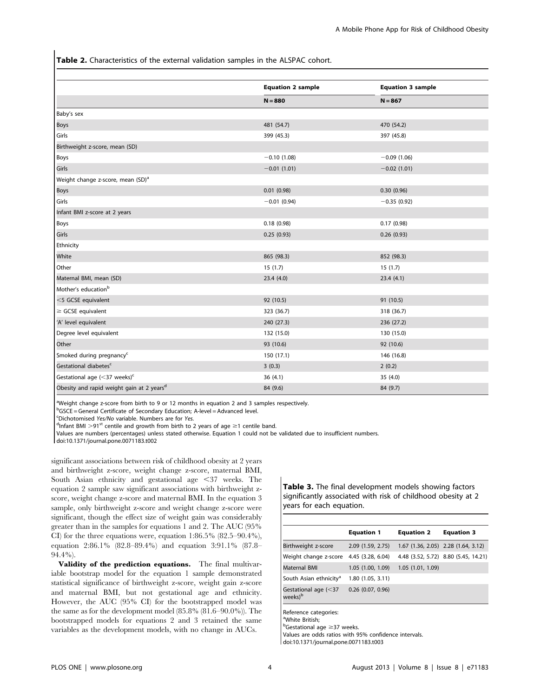Table 2. Characteristics of the external validation samples in the ALSPAC cohort.

|                                                       | <b>Equation 2 sample</b> | <b>Equation 3 sample</b> |
|-------------------------------------------------------|--------------------------|--------------------------|
|                                                       | $N = 880$                | $N = 867$                |
| Baby's sex                                            |                          |                          |
| <b>Boys</b>                                           | 481 (54.7)               | 470 (54.2)               |
| Girls                                                 | 399 (45.3)               | 397 (45.8)               |
| Birthweight z-score, mean (SD)                        |                          |                          |
| Boys                                                  | $-0.10$ (1.08)           | $-0.09(1.06)$            |
| Girls                                                 | $-0.01(1.01)$            | $-0.02(1.01)$            |
| Weight change z-score, mean (SD) <sup>a</sup>         |                          |                          |
| Boys                                                  | 0.01(0.98)               | 0.30(0.96)               |
| Girls                                                 | $-0.01(0.94)$            | $-0.35(0.92)$            |
| Infant BMI z-score at 2 years                         |                          |                          |
| Boys                                                  | 0.18(0.98)               | 0.17(0.98)               |
| Girls                                                 | 0.25(0.93)               | 0.26(0.93)               |
| Ethnicity                                             |                          |                          |
| White                                                 | 865 (98.3)               | 852 (98.3)               |
| Other                                                 | 15(1.7)                  | 15(1.7)                  |
| Maternal BMI, mean (SD)                               | 23.4 (4.0)               | 23.4(4.1)                |
| Mother's education <sup>b</sup>                       |                          |                          |
| <5 GCSE equivalent                                    | 92 (10.5)                | 91 (10.5)                |
| $\ge$ GCSE equivalent                                 | 323 (36.7)               | 318 (36.7)               |
| 'A' level equivalent                                  | 240 (27.3)               | 236 (27.2)               |
| Degree level equivalent                               | 132 (15.0)               | 130 (15.0)               |
| Other                                                 | 93 (10.6)                | 92 (10.6)                |
| Smoked during pregnancy <sup>c</sup>                  | 150(17.1)                | 146 (16.8)               |
| Gestational diabetes <sup>c</sup>                     | 3(0.3)                   | 2(0.2)                   |
| Gestational age $(<$ 37 weeks) <sup>c</sup>           | 36(4.1)                  | 35 (4.0)                 |
| Obesity and rapid weight gain at 2 years <sup>d</sup> | 84 (9.6)                 | 84 (9.7)                 |

<sup>a</sup>Weight change z-score from birth to 9 or 12 months in equation 2 and 3 samples respectively.

<sup>b</sup>GSCE = General Certificate of Secondary Education; A-level = Advanced level.

Epichotomised Yes/No variable. Numbers are for Yes.

 $d$ Infant BMI >91<sup>st</sup> centile and growth from birth to 2 years of age  $\geq$ 1 centile band.

Values are numbers (percentages) unless stated otherwise. Equation 1 could not be validated due to insufficient numbers.

doi:10.1371/journal.pone.0071183.t002

significant associations between risk of childhood obesity at 2 years and birthweight z-score, weight change z-score, maternal BMI, South Asian ethnicity and gestational age <37 weeks. The equation 2 sample saw significant associations with birthweight zscore, weight change z-score and maternal BMI. In the equation 3 sample, only birthweight z-score and weight change z-score were significant, though the effect size of weight gain was considerably greater than in the samples for equations 1 and 2. The AUC (95% CI) for the three equations were, equation 1:86.5% (82.5–90.4%), equation 2:86.1% (82.8–89.4%) and equation 3:91.1% (87.8– 94.4%).

Validity of the prediction equations. The final multivariable bootstrap model for the equation 1 sample demonstrated statistical significance of birthweight z-score, weight gain z-score and maternal BMI, but not gestational age and ethnicity. However, the AUC (95% CI) for the bootstrapped model was the same as for the development model (85.8% (81.6–90.0%)). The bootstrapped models for equations 2 and 3 retained the same variables as the development models, with no change in AUCs.

Table 3. The final development models showing factors significantly associated with risk of childhood obesity at 2 years for each equation.

|                                                | <b>Equation 1</b>   | <b>Equation 2</b> | <b>Equation 3</b>                    |
|------------------------------------------------|---------------------|-------------------|--------------------------------------|
| Birthweight z-score                            | 2.09 (1.59, 2.75)   |                   | 1.67 (1.36, 2.05) 2.28 (1.64, 3.12)  |
| Weight change z-score                          | 4.45 (3.28, 6.04)   |                   | 4.48 (3.52, 5.72) 8.80 (5.45, 14.21) |
| Maternal BMI                                   | 1.05 (1.00, 1.09)   | 1.05 (1.01, 1.09) |                                      |
| South Asian ethnicity <sup>a</sup>             | 1.80 (1.05, 3.11)   |                   |                                      |
| Gestational age $(<$ 37<br>weeks) <sup>b</sup> | $0.26$ (0.07, 0.96) |                   |                                      |
|                                                |                     |                   |                                      |

Reference categories: a White British;

<sup>b</sup>Gestational age ≥37 weeks.

Values are odds ratios with 95% confidence intervals.

doi:10.1371/journal.pone.0071183.t003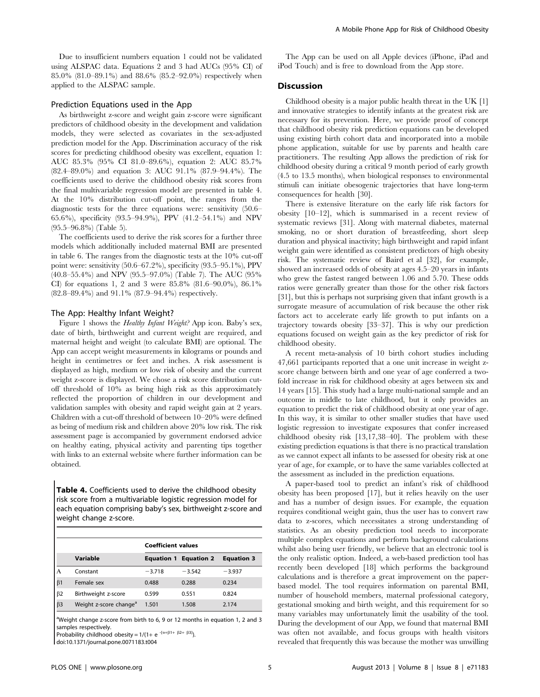Due to insufficient numbers equation 1 could not be validated using ALSPAC data. Equations 2 and 3 had AUCs (95% CI) of 85.0% (81.0–89.1%) and 88.6% (85.2–92.0%) respectively when applied to the ALSPAC sample.

## Prediction Equations used in the App

As birthweight z-score and weight gain z-score were significant predictors of childhood obesity in the development and validation models, they were selected as covariates in the sex-adjusted prediction model for the App. Discrimination accuracy of the risk scores for predicting childhood obesity was excellent, equation 1: AUC 85.3% (95% CI 81.0–89.6%), equation 2: AUC 85.7% (82.4–89.0%) and equation 3: AUC 91.1% (87.9–94.4%). The coefficients used to derive the childhood obesity risk scores from the final multivariable regression model are presented in table 4. At the 10% distribution cut-off point, the ranges from the diagnostic tests for the three equations were: sensitivity (50.6– 65.6%), specificity (93.5–94.9%), PPV (41.2–54.1%) and NPV (95.5–96.8%) (Table 5).

The coefficients used to derive the risk scores for a further three models which additionally included maternal BMI are presented in table 6. The ranges from the diagnostic tests at the 10% cut-off point were: sensitivity (50.6–67.2%), specificity (93.5–95.1%), PPV (40.8–55.4%) and NPV (95.5–97.0%) (Table 7). The AUC (95% CI) for equations 1, 2 and 3 were 85.8% (81.6–90.0%), 86.1% (82.8–89.4%) and 91.1% (87.9–94.4%) respectively.

#### The App: Healthy Infant Weight?

Figure 1 shows the *Healthy Infant Weight?* App icon. Baby's sex, date of birth, birthweight and current weight are required, and maternal height and weight (to calculate BMI) are optional. The App can accept weight measurements in kilograms or pounds and height in centimetres or feet and inches. A risk assessment is displayed as high, medium or low risk of obesity and the current weight z-score is displayed. We chose a risk score distribution cutoff threshold of 10% as being high risk as this approximately reflected the proportion of children in our development and validation samples with obesity and rapid weight gain at 2 years. Children with a cut-off threshold of between 10–20% were defined as being of medium risk and children above 20% low risk. The risk assessment page is accompanied by government endorsed advice on healthy eating, physical activity and parenting tips together with links to an external website where further information can be obtained.

Table 4. Coefficients used to derive the childhood obesity risk score from a multivariable logistic regression model for each equation comprising baby's sex, birthweight z-score and weight change z-score.

|           |                                    | <b>Coefficient values</b> |                              |                   |  |
|-----------|------------------------------------|---------------------------|------------------------------|-------------------|--|
|           | Variable                           |                           | <b>Equation 1 Equation 2</b> | <b>Equation 3</b> |  |
| A         | Constant                           | $-3.718$                  | $-3.542$                     | $-3.937$          |  |
| $\beta$ 1 | Female sex                         | 0.488                     | 0.288                        | 0.234             |  |
| $\beta$ 2 | Birthweight z-score                | 0.599                     | 0.551                        | 0.824             |  |
| $\beta$ 3 | Weight z-score change <sup>a</sup> | 1.501                     | 1.508                        | 2.174             |  |

<sup>a</sup>Weight change z-score from birth to 6, 9 or 12 months in equation 1, 2 and 3 samples respectively.

Probability childhood obesity =  $1/(1+e^{-[\alpha+\beta1+\beta2+\beta3]})$ .

doi:10.1371/journal.pone.0071183.t004

The App can be used on all Apple devices (iPhone, iPad and iPod Touch) and is free to download from the App store.

## **Discussion**

Childhood obesity is a major public health threat in the UK [1] and innovative strategies to identify infants at the greatest risk are necessary for its prevention. Here, we provide proof of concept that childhood obesity risk prediction equations can be developed using existing birth cohort data and incorporated into a mobile phone application, suitable for use by parents and health care practitioners. The resulting App allows the prediction of risk for childhood obesity during a critical 9 month period of early growth (4.5 to 13.5 months), when biological responses to environmental stimuli can initiate obesogenic trajectories that have long-term consequences for health [30].

There is extensive literature on the early life risk factors for obesity [10–12], which is summarised in a recent review of systematic reviews [31]. Along with maternal diabetes, maternal smoking, no or short duration of breastfeeding, short sleep duration and physical inactivity; high birthweight and rapid infant weight gain were identified as consistent predictors of high obesity risk. The systematic review of Baird et al [32], for example, showed an increased odds of obesity at ages 4.5–20 years in infants who grew the fastest ranged between 1.06 and 5.70. These odds ratios were generally greater than those for the other risk factors [31], but this is perhaps not surprising given that infant growth is a surrogate measure of accumulation of risk because the other risk factors act to accelerate early life growth to put infants on a trajectory towards obesity [33–37]. This is why our prediction equations focused on weight gain as the key predictor of risk for childhood obesity.

A recent meta-analysis of 10 birth cohort studies including 47,661 participants reported that a one unit increase in weight zscore change between birth and one year of age conferred a twofold increase in risk for childhood obesity at ages between six and 14 years [15]. This study had a large multi-national sample and an outcome in middle to late childhood, but it only provides an equation to predict the risk of childhood obesity at one year of age. In this way, it is similar to other smaller studies that have used logistic regression to investigate exposures that confer increased childhood obesity risk [13,17,38–40]. The problem with these existing prediction equations is that there is no practical translation as we cannot expect all infants to be assessed for obesity risk at one year of age, for example, or to have the same variables collected at the assessment as included in the prediction equations.

A paper-based tool to predict an infant's risk of childhood obesity has been proposed [17], but it relies heavily on the user and has a number of design issues. For example, the equation requires conditional weight gain, thus the user has to convert raw data to z-scores, which necessitates a strong understanding of statistics. As an obesity prediction tool needs to incorporate multiple complex equations and perform background calculations whilst also being user friendly, we believe that an electronic tool is the only realistic option. Indeed, a web-based prediction tool has recently been developed [18] which performs the background calculations and is therefore a great improvement on the paperbased model. The tool requires information on parental BMI, number of household members, maternal professional category, gestational smoking and birth weight, and this requirement for so many variables may unfortunately limit the usability of the tool. During the development of our App, we found that maternal BMI was often not available, and focus groups with health visitors revealed that frequently this was because the mother was unwilling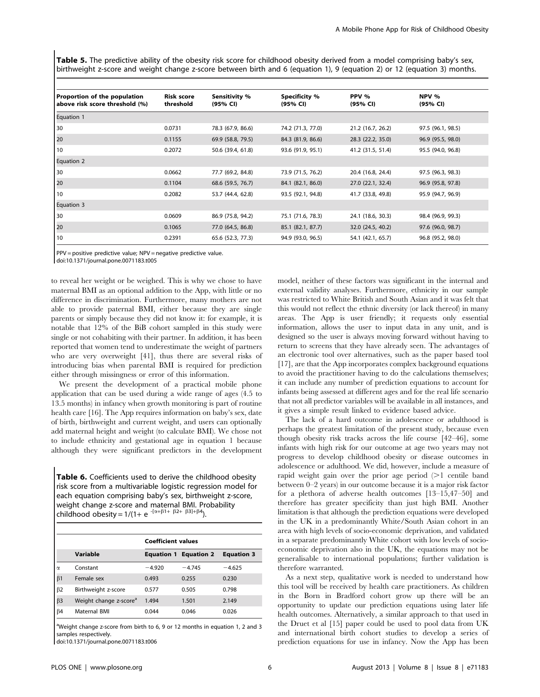Table 5. The predictive ability of the obesity risk score for childhood obesity derived from a model comprising baby's sex, birthweight z-score and weight change z-score between birth and 6 (equation 1), 9 (equation 2) or 12 (equation 3) months.

| Proportion of the population<br>above risk score threshold (%) | <b>Risk score</b><br>threshold | Sensitivity %<br>(95% CI) | <b>Specificity %</b><br>(95% CI) | PPV %<br>(95% CI) | NPV %<br>(95% CI) |
|----------------------------------------------------------------|--------------------------------|---------------------------|----------------------------------|-------------------|-------------------|
| <b>Equation 1</b>                                              |                                |                           |                                  |                   |                   |
| 30                                                             | 0.0731                         | 78.3 (67.9, 86.6)         | 74.2 (71.3, 77.0)                | 21.2 (16.7, 26.2) | 97.5 (96.1, 98.5) |
| 20                                                             | 0.1155                         | 69.9 (58.8, 79.5)         | 84.3 (81.9, 86.6)                | 28.3 (22.2, 35.0) | 96.9 (95.5, 98.0) |
| 10                                                             | 0.2072                         | 50.6 (39.4, 61.8)         | 93.6 (91.9, 95.1)                | 41.2 (31.5, 51.4) | 95.5 (94.0, 96.8) |
| <b>Equation 2</b>                                              |                                |                           |                                  |                   |                   |
| 30                                                             | 0.0662                         | 77.7 (69.2, 84.8)         | 73.9 (71.5, 76.2)                | 20.4 (16.8, 24.4) | 97.5 (96.3, 98.3) |
| 20                                                             | 0.1104                         | 68.6 (59.5, 76.7)         | 84.1 (82.1, 86.0)                | 27.0 (22.1, 32.4) | 96.9 (95.8, 97.8) |
| 10                                                             | 0.2082                         | 53.7 (44.4, 62.8)         | 93.5 (92.1, 94.8)                | 41.7 (33.8, 49.8) | 95.9 (94.7, 96.9) |
| Equation 3                                                     |                                |                           |                                  |                   |                   |
| 30                                                             | 0.0609                         | 86.9 (75.8, 94.2)         | 75.1 (71.6, 78.3)                | 24.1 (18.6, 30.3) | 98.4 (96.9, 99.3) |
| 20                                                             | 0.1065                         | 77.0 (64.5, 86.8)         | 85.1 (82.1, 87.7)                | 32.0 (24.5, 40.2) | 97.6 (96.0, 98.7) |
| 10                                                             | 0.2391                         | 65.6 (52.3, 77.3)         | 94.9 (93.0, 96.5)                | 54.1 (42.1, 65.7) | 96.8 (95.2, 98.0) |

PPV = positive predictive value; NPV = negative predictive value.

doi:10.1371/journal.pone.0071183.t005

to reveal her weight or be weighed. This is why we chose to have maternal BMI as an optional addition to the App, with little or no difference in discrimination. Furthermore, many mothers are not able to provide paternal BMI, either because they are single parents or simply because they did not know it: for example, it is notable that 12% of the BiB cohort sampled in this study were single or not cohabiting with their partner. In addition, it has been reported that women tend to underestimate the weight of partners who are very overweight [41], thus there are several risks of introducing bias when parental BMI is required for prediction either through missingness or error of this information.

We present the development of a practical mobile phone application that can be used during a wide range of ages (4.5 to 13.5 months) in infancy when growth monitoring is part of routine health care [16]. The App requires information on baby's sex, date of birth, birthweight and current weight, and users can optionally add maternal height and weight (to calculate BMI). We chose not to include ethnicity and gestational age in equation 1 because although they were significant predictors in the development

Table 6. Coefficients used to derive the childhood obesity risk score from a multivariable logistic regression model for each equation comprising baby's sex, birthweight z-score, weight change z-score and maternal BMI. Probability childhood obesity =  $1/(1 + e^{-[\alpha + \beta] + \beta^2 + \beta^3] + \beta^4}).$ 

|           |                                    | <b>Coefficient values</b> |                              |                   |  |
|-----------|------------------------------------|---------------------------|------------------------------|-------------------|--|
|           | Variable                           |                           | <b>Equation 1 Equation 2</b> | <b>Equation 3</b> |  |
| $\alpha$  | Constant                           | $-4.920$                  | $-4.745$                     | $-4.625$          |  |
| $\beta$ 1 | Female sex                         | 0.493                     | 0.255                        | 0.230             |  |
| $\beta$ 2 | Birthweight z-score                | 0.577                     | 0.505                        | 0.798             |  |
| $\beta$ 3 | Weight change z-score <sup>a</sup> | 1.494                     | 1.501                        | 2.149             |  |
| $\beta$ 4 | Maternal BMI                       | 0.044                     | 0.046                        | 0.026             |  |

<sup>a</sup>Weight change z-score from birth to 6, 9 or 12 months in equation 1, 2 and 3 samples respectively.

doi:10.1371/journal.pone.0071183.t006

model, neither of these factors was significant in the internal and external validity analyses. Furthermore, ethnicity in our sample was restricted to White British and South Asian and it was felt that this would not reflect the ethnic diversity (or lack thereof) in many areas. The App is user friendly; it requests only essential information, allows the user to input data in any unit, and is designed so the user is always moving forward without having to return to screens that they have already seen. The advantages of an electronic tool over alternatives, such as the paper based tool [17], are that the App incorporates complex background equations to avoid the practitioner having to do the calculations themselves; it can include any number of prediction equations to account for infants being assessed at different ages and for the real life scenario that not all predictor variables will be available in all instances, and it gives a simple result linked to evidence based advice.

The lack of a hard outcome in adolescence or adulthood is perhaps the greatest limitation of the present study, because even though obesity risk tracks across the life course [42–46], some infants with high risk for our outcome at age two years may not progress to develop childhood obesity or disease outcomes in adolescence or adulthood. We did, however, include a measure of rapid weight gain over the prior age period  $(>1)$  centile band between 0–2 years) in our outcome because it is a major risk factor for a plethora of adverse health outcomes [13–15,47–50] and therefore has greater specificity than just high BMI. Another limitation is that although the prediction equations were developed in the UK in a predominantly White/South Asian cohort in an area with high levels of socio-economic deprivation, and validated in a separate predominantly White cohort with low levels of socioeconomic deprivation also in the UK, the equations may not be generalisable to international populations; further validation is therefore warranted.

As a next step, qualitative work is needed to understand how this tool will be received by health care practitioners. As children in the Born in Bradford cohort grow up there will be an opportunity to update our prediction equations using later life health outcomes. Alternatively, a similar approach to that used in the Druet et al [15] paper could be used to pool data from UK and international birth cohort studies to develop a series of prediction equations for use in infancy. Now the App has been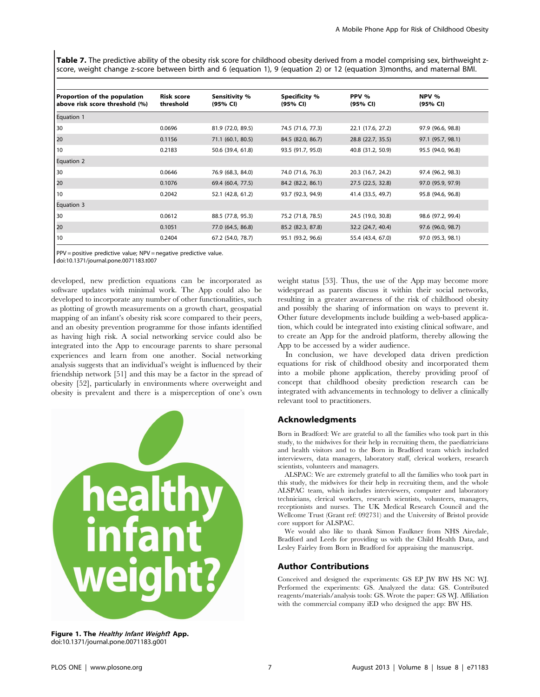Table 7. The predictive ability of the obesity risk score for childhood obesity derived from a model comprising sex, birthweight zscore, weight change z-score between birth and 6 (equation 1), 9 (equation 2) or 12 (equation 3)months, and maternal BMI.

| Proportion of the population<br>above risk score threshold (%) | <b>Risk score</b><br>threshold | Sensitivity %<br>(95% CI) | <b>Specificity %</b><br>(95% CI) | PPV %<br>(95% CI) | NPV %<br>(95% CI) |
|----------------------------------------------------------------|--------------------------------|---------------------------|----------------------------------|-------------------|-------------------|
| Equation 1                                                     |                                |                           |                                  |                   |                   |
| 30                                                             | 0.0696                         | 81.9 (72.0, 89.5)         | 74.5 (71.6, 77.3)                | 22.1 (17.6, 27.2) | 97.9 (96.6, 98.8) |
| 20                                                             | 0.1156                         | 71.1 (60.1, 80.5)         | 84.5 (82.0, 86.7)                | 28.8 (22.7, 35.5) | 97.1 (95.7, 98.1) |
| 10                                                             | 0.2183                         | 50.6 (39.4, 61.8)         | 93.5 (91.7, 95.0)                | 40.8 (31.2, 50.9) | 95.5 (94.0, 96.8) |
| Equation 2                                                     |                                |                           |                                  |                   |                   |
| 30                                                             | 0.0646                         | 76.9 (68.3, 84.0)         | 74.0 (71.6, 76.3)                | 20.3 (16.7, 24.2) | 97.4 (96.2, 98.3) |
| 20                                                             | 0.1076                         | 69.4 (60.4, 77.5)         | 84.2 (82.2, 86.1)                | 27.5 (22.5, 32.8) | 97.0 (95.9, 97.9) |
| 10                                                             | 0.2042                         | 52.1 (42.8, 61.2)         | 93.7 (92.3, 94.9)                | 41.4 (33.5, 49.7) | 95.8 (94.6, 96.8) |
| Equation 3                                                     |                                |                           |                                  |                   |                   |
| 30                                                             | 0.0612                         | 88.5 (77.8, 95.3)         | 75.2 (71.8, 78.5)                | 24.5 (19.0, 30.8) | 98.6 (97.2, 99.4) |
| 20                                                             | 0.1051                         | 77.0 (64.5, 86.8)         | 85.2 (82.3, 87.8)                | 32.2 (24.7, 40.4) | 97.6 (96.0, 98.7) |
| 10                                                             | 0.2404                         | 67.2 (54.0, 78.7)         | 95.1 (93.2, 96.6)                | 55.4 (43.4, 67.0) | 97.0 (95.3, 98.1) |

PPV = positive predictive value; NPV = negative predictive value.

doi:10.1371/journal.pone.0071183.t007

developed, new prediction equations can be incorporated as software updates with minimal work. The App could also be developed to incorporate any number of other functionalities, such as plotting of growth measurements on a growth chart, geospatial mapping of an infant's obesity risk score compared to their peers, and an obesity prevention programme for those infants identified as having high risk. A social networking service could also be integrated into the App to encourage parents to share personal experiences and learn from one another. Social networking analysis suggests that an individual's weight is influenced by their friendship network [51] and this may be a factor in the spread of obesity [52], particularly in environments where overweight and obesity is prevalent and there is a misperception of one's own



Figure 1. The Healthy Infant Weight? App. doi:10.1371/journal.pone.0071183.g001

weight status [53]. Thus, the use of the App may become more widespread as parents discuss it within their social networks, resulting in a greater awareness of the risk of childhood obesity and possibly the sharing of information on ways to prevent it. Other future developments include building a web-based application, which could be integrated into existing clinical software, and to create an App for the android platform, thereby allowing the App to be accessed by a wider audience.

In conclusion, we have developed data driven prediction equations for risk of childhood obesity and incorporated them into a mobile phone application, thereby providing proof of concept that childhood obesity prediction research can be integrated with advancements in technology to deliver a clinically relevant tool to practitioners.

## Acknowledgments

Born in Bradford: We are grateful to all the families who took part in this study, to the midwives for their help in recruiting them, the paediatricians and health visitors and to the Born in Bradford team which included interviewers, data managers, laboratory staff, clerical workers, research scientists, volunteers and managers.

ALSPAC: We are extremely grateful to all the families who took part in this study, the midwives for their help in recruiting them, and the whole ALSPAC team, which includes interviewers, computer and laboratory technicians, clerical workers, research scientists, volunteers, managers, receptionists and nurses. The UK Medical Research Council and the Wellcome Trust (Grant ref: 092731) and the University of Bristol provide core support for ALSPAC.

We would also like to thank Simon Faulkner from NHS Airedale, Bradford and Leeds for providing us with the Child Health Data, and Lesley Fairley from Born in Bradford for appraising the manuscript.

## Author Contributions

Conceived and designed the experiments: GS EP JW BW HS NC WJ. Performed the experiments: GS. Analyzed the data: GS. Contributed reagents/materials/analysis tools: GS. Wrote the paper: GS WJ. Affiliation with the commercial company iED who designed the app: BW HS.